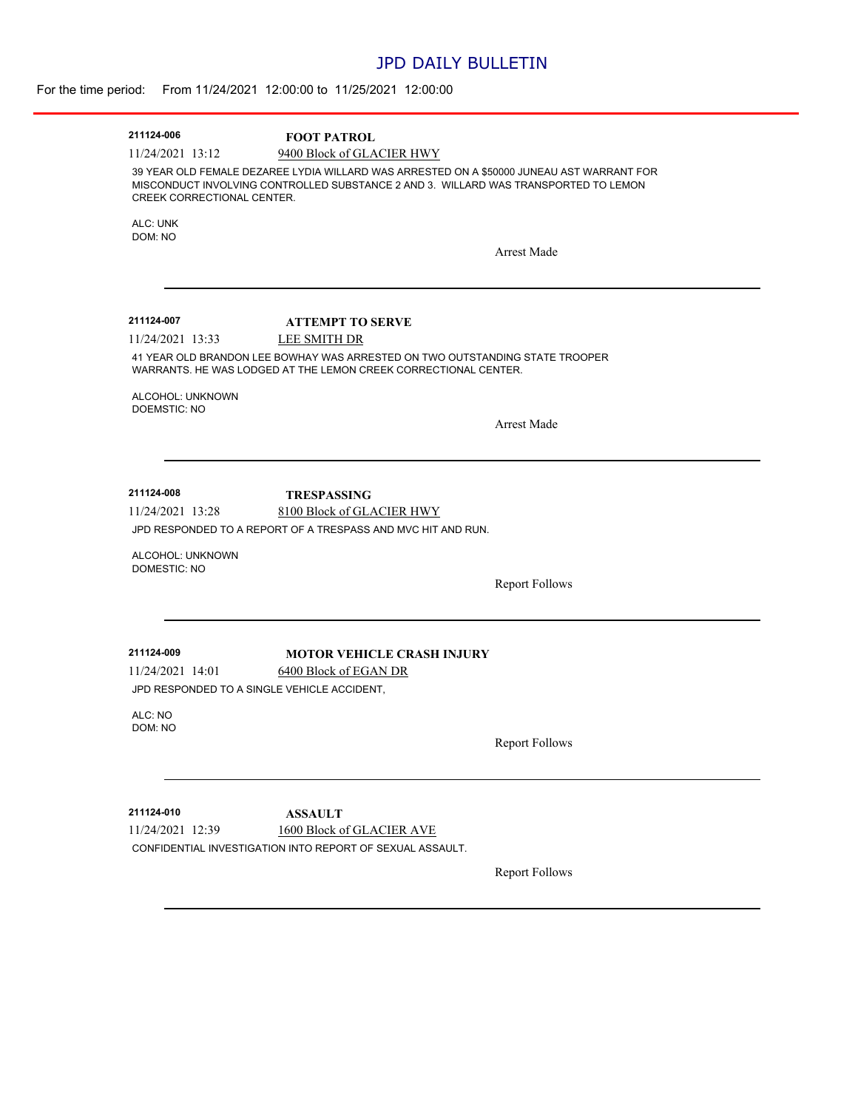### JPD DAILY BULLETIN

| 211124-006                                  | <b>FOOT PATROL</b>                                                                                                                              |                       |
|---------------------------------------------|-------------------------------------------------------------------------------------------------------------------------------------------------|-----------------------|
| 11/24/2021 13:12                            | 9400 Block of GLACIER HWY<br>39 YEAR OLD FEMALE DEZAREE LYDIA WILLARD WAS ARRESTED ON A \$50000 JUNEAU AST WARRANT FOR                          |                       |
| CREEK CORRECTIONAL CENTER.                  | MISCONDUCT INVOLVING CONTROLLED SUBSTANCE 2 AND 3. WILLARD WAS TRANSPORTED TO LEMON                                                             |                       |
| ALC: UNK<br>DOM: NO                         |                                                                                                                                                 |                       |
|                                             |                                                                                                                                                 | Arrest Made           |
| 211124-007                                  | <b>ATTEMPT TO SERVE</b>                                                                                                                         |                       |
| 11/24/2021 13:33                            | LEE SMITH DR                                                                                                                                    |                       |
|                                             | 41 YEAR OLD BRANDON LEE BOWHAY WAS ARRESTED ON TWO OUTSTANDING STATE TROOPER<br>WARRANTS. HE WAS LODGED AT THE LEMON CREEK CORRECTIONAL CENTER. |                       |
| ALCOHOL: UNKNOWN<br><b>DOEMSTIC: NO</b>     |                                                                                                                                                 |                       |
|                                             |                                                                                                                                                 | <b>Arrest Made</b>    |
|                                             |                                                                                                                                                 |                       |
|                                             |                                                                                                                                                 |                       |
| 211124-008                                  | <b>TRESPASSING</b>                                                                                                                              |                       |
| 11/24/2021 13:28                            | 8100 Block of GLACIER HWY                                                                                                                       |                       |
|                                             | JPD RESPONDED TO A REPORT OF A TRESPASS AND MVC HIT AND RUN.                                                                                    |                       |
| ALCOHOL: UNKNOWN<br>DOMESTIC: NO            |                                                                                                                                                 |                       |
|                                             |                                                                                                                                                 | <b>Report Follows</b> |
|                                             |                                                                                                                                                 |                       |
|                                             |                                                                                                                                                 |                       |
| 211124-009<br>11/24/2021 14:01              | <b>MOTOR VEHICLE CRASH INJURY</b><br>6400 Block of EGAN DR                                                                                      |                       |
| JPD RESPONDED TO A SINGLE VEHICLE ACCIDENT, |                                                                                                                                                 |                       |
| ALC: NO                                     |                                                                                                                                                 |                       |
| DOM: NO                                     |                                                                                                                                                 | <b>Report Follows</b> |
|                                             |                                                                                                                                                 |                       |
| 211124-010                                  |                                                                                                                                                 |                       |
|                                             | <b>ASSAULT</b><br>1600 Block of GLACIER AVE                                                                                                     |                       |
|                                             |                                                                                                                                                 |                       |
| 11/24/2021 12:39                            | CONFIDENTIAL INVESTIGATION INTO REPORT OF SEXUAL ASSAULT.                                                                                       |                       |
|                                             |                                                                                                                                                 |                       |
|                                             |                                                                                                                                                 | <b>Report Follows</b> |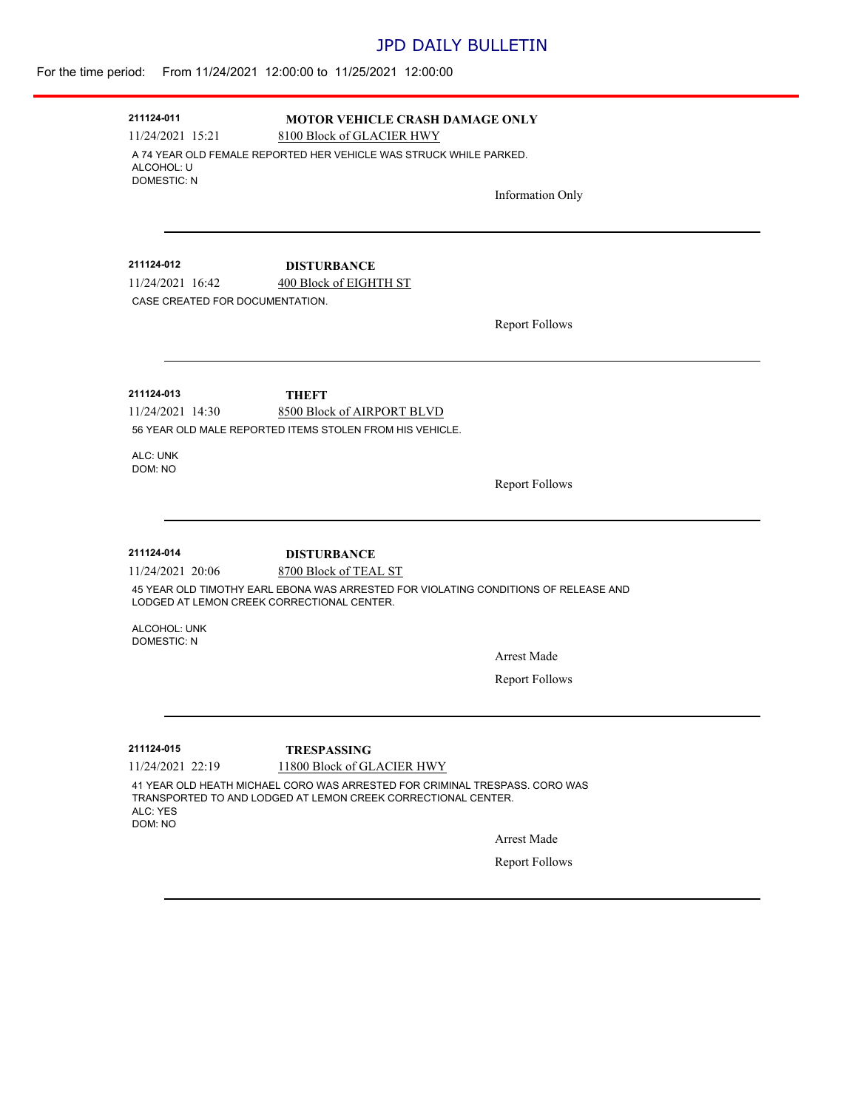### JPD DAILY BULLETIN

## For the time period: From 11/24/2021 12:00:00 to 11/25/2021 12:00:00

| 211124-011                                          | <b>MOTOR VEHICLE CRASH DAMAGE ONLY</b>                                                                                                       |                       |
|-----------------------------------------------------|----------------------------------------------------------------------------------------------------------------------------------------------|-----------------------|
| 11/24/2021 15:21                                    | 8100 Block of GLACIER HWY                                                                                                                    |                       |
| ALCOHOL: U<br><b>DOMESTIC: N</b>                    | A 74 YEAR OLD FEMALE REPORTED HER VEHICLE WAS STRUCK WHILE PARKED.                                                                           |                       |
|                                                     |                                                                                                                                              | Information Only      |
| 211124-012                                          | <b>DISTURBANCE</b>                                                                                                                           |                       |
| 11/24/2021 16:42<br>CASE CREATED FOR DOCUMENTATION. | 400 Block of EIGHTH ST                                                                                                                       |                       |
|                                                     |                                                                                                                                              | <b>Report Follows</b> |
| 211124-013                                          | THEFT                                                                                                                                        |                       |
| 11/24/2021 14:30                                    | 8500 Block of AIRPORT BLVD<br>56 YEAR OLD MALE REPORTED ITEMS STOLEN FROM HIS VEHICLE.                                                       |                       |
| ALC: UNK                                            |                                                                                                                                              |                       |
| DOM: NO                                             |                                                                                                                                              | <b>Report Follows</b> |
|                                                     |                                                                                                                                              |                       |
| 211124-014                                          | <b>DISTURBANCE</b>                                                                                                                           |                       |
| 11/24/2021 20:06                                    | 8700 Block of TEAL ST                                                                                                                        |                       |
|                                                     | 45 YEAR OLD TIMOTHY EARL EBONA WAS ARRESTED FOR VIOLATING CONDITIONS OF RELEASE AND<br>LODGED AT LEMON CREEK CORRECTIONAL CENTER.            |                       |
| ALCOHOL: UNK<br><b>DOMESTIC: N</b>                  |                                                                                                                                              |                       |
|                                                     |                                                                                                                                              | <b>Arrest Made</b>    |
|                                                     |                                                                                                                                              | <b>Report Follows</b> |
|                                                     |                                                                                                                                              |                       |
| 211124-015                                          | <b>TRESPASSING</b>                                                                                                                           |                       |
| 11/24/2021 22:19                                    | 11800 Block of GLACIER HWY                                                                                                                   |                       |
| ALC: YES<br>DOM: NO                                 | 41 YEAR OLD HEATH MICHAEL CORO WAS ARRESTED FOR CRIMINAL TRESPASS, CORO WAS<br>TRANSPORTED TO AND LODGED AT LEMON CREEK CORRECTIONAL CENTER. |                       |
|                                                     |                                                                                                                                              | <b>Arrest Made</b>    |
|                                                     |                                                                                                                                              | <b>Report Follows</b> |